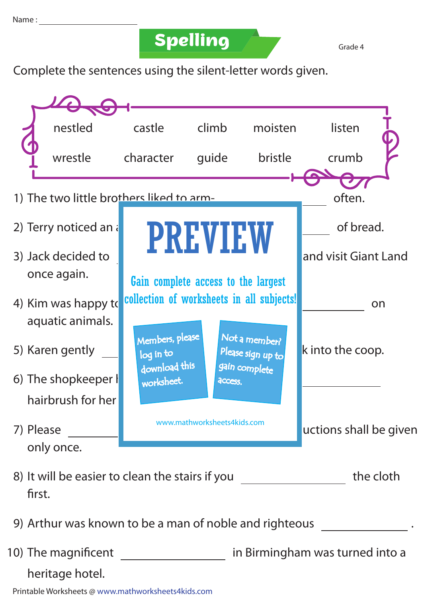## **Spelling Grade 4**

Complete the sentences using the silent-letter words given.



Printable Worksheets @ www.mathworksheets4kids.com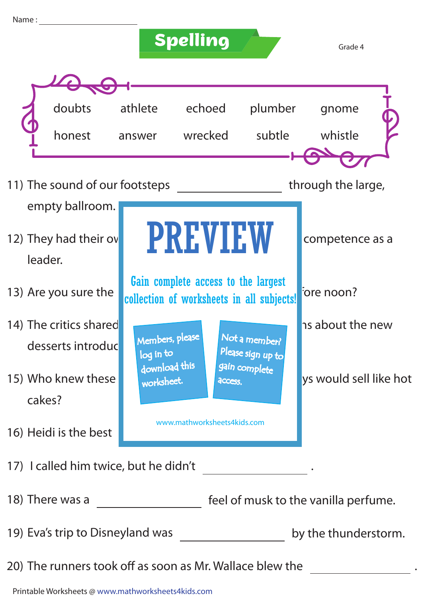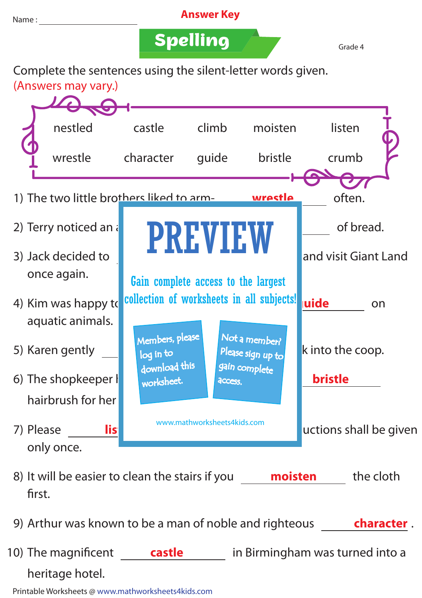

10) The magnificent **castle** in Birmingham was turned into a heritage hotel.

Printable Worksheets @ www.mathworksheets4kids.com